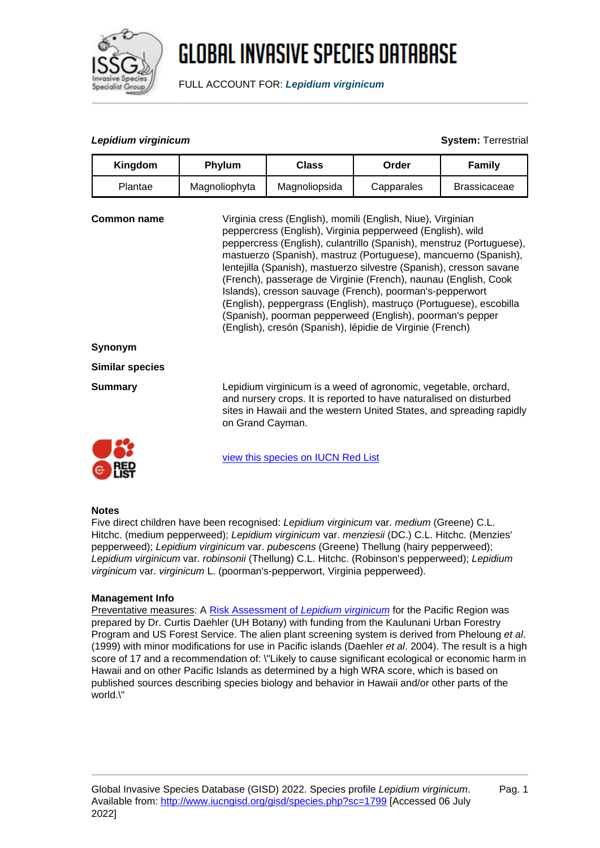

# **GLOBAL INVASIVE SPECIES DATABASE**

FULL ACCOUNT FOR: **Lepidium virginicum**

## **Lepidium virginicum System:** Terrestrial

| Kingdom                | Phylum                                                                                                                                                                                                                                                                                                                                                                                                                                                                                                                                                                                                                                                                     | <b>Class</b>                                                                                                                                                                                                  | Order      | <b>Family</b>       |
|------------------------|----------------------------------------------------------------------------------------------------------------------------------------------------------------------------------------------------------------------------------------------------------------------------------------------------------------------------------------------------------------------------------------------------------------------------------------------------------------------------------------------------------------------------------------------------------------------------------------------------------------------------------------------------------------------------|---------------------------------------------------------------------------------------------------------------------------------------------------------------------------------------------------------------|------------|---------------------|
| Plantae                | Magnoliophyta                                                                                                                                                                                                                                                                                                                                                                                                                                                                                                                                                                                                                                                              | Magnoliopsida                                                                                                                                                                                                 | Capparales | <b>Brassicaceae</b> |
| Common name            | Virginia cress (English), momili (English, Niue), Virginian<br>peppercress (English), Virginia pepperweed (English), wild<br>peppercress (English), culantrillo (Spanish), menstruz (Portuguese),<br>mastuerzo (Spanish), mastruz (Portuguese), mancuerno (Spanish),<br>lentejilla (Spanish), mastuerzo silvestre (Spanish), cresson savane<br>(French), passerage de Virginie (French), naunau (English, Cook<br>Islands), cresson sauvage (French), poorman's-pepperwort<br>(English), peppergrass (English), mastruço (Portuguese), escobilla<br>(Spanish), poorman pepperweed (English), poorman's pepper<br>(English), cresón (Spanish), lépidie de Virginie (French) |                                                                                                                                                                                                               |            |                     |
| Synonym                |                                                                                                                                                                                                                                                                                                                                                                                                                                                                                                                                                                                                                                                                            |                                                                                                                                                                                                               |            |                     |
| <b>Similar species</b> |                                                                                                                                                                                                                                                                                                                                                                                                                                                                                                                                                                                                                                                                            |                                                                                                                                                                                                               |            |                     |
| <b>Summary</b>         | on Grand Cayman.                                                                                                                                                                                                                                                                                                                                                                                                                                                                                                                                                                                                                                                           | Lepidium virginicum is a weed of agronomic, vegetable, orchard,<br>and nursery crops. It is reported to have naturalised on disturbed<br>sites in Hawaii and the western United States, and spreading rapidly |            |                     |
|                        |                                                                                                                                                                                                                                                                                                                                                                                                                                                                                                                                                                                                                                                                            | view this species on IUCN Red List                                                                                                                                                                            |            |                     |

#### **Notes**

 $\bullet$  nst

Five direct children have been recognised: Lepidium virginicum var. medium (Greene) C.L. Hitchc. (medium pepperweed); Lepidium virginicum var. menziesii (DC.) C.L. Hitchc. (Menzies' pepperweed); Lepidium virginicum var. pubescens (Greene) Thellung (hairy pepperweed); Lepidium virginicum var. robinsonii (Thellung) C.L. Hitchc. (Robinson's pepperweed); Lepidium virginicum var. virginicum L. (poorman's-pepperwort, Virginia pepperweed).

#### **Management Info**

Preventative measures: A [Risk Assessment of](http://www.hear.org/pier/wra/pacific/lepidium_virginicum_htmlwra.htm) [Lepidium virginicum](http://www.hear.org/pier/wra/pacific/lepidium_virginicum_htmlwra.htm) for the Pacific Region was prepared by Dr. Curtis Daehler (UH Botany) with funding from the Kaulunani Urban Forestry Program and US Forest Service. The alien plant screening system is derived from Pheloung et al. (1999) with minor modifications for use in Pacific islands (Daehler et al. 2004). The result is a high score of 17 and a recommendation of: \"Likely to cause significant ecological or economic harm in Hawaii and on other Pacific Islands as determined by a high WRA score, which is based on published sources describing species biology and behavior in Hawaii and/or other parts of the world.\"